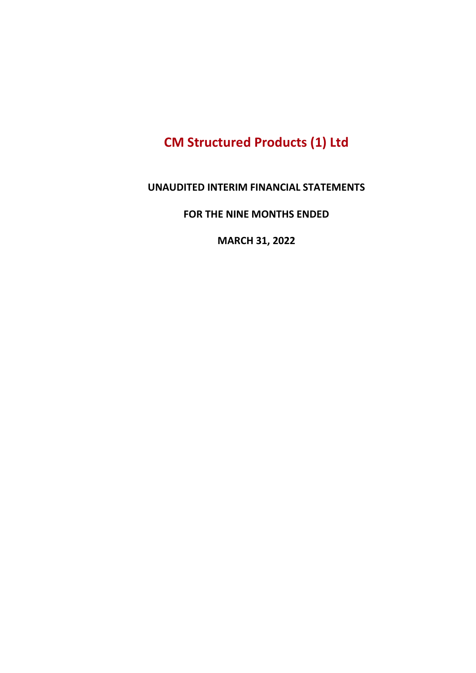# CM Structured Products (1) Ltd

#### UNAUDITED INTERIM FINANCIAL STATEMENTS

FOR THE NINE MONTHS ENDED

MARCH 31, 2022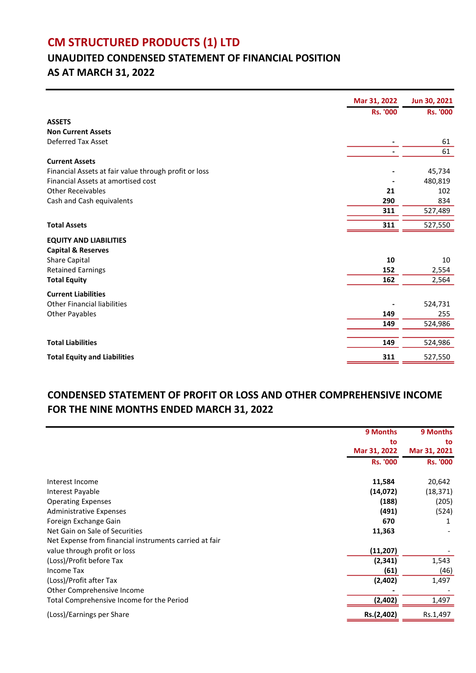# CM STRUCTURED PRODUCTS (1) LTD

# UNAUDITED CONDENSED STATEMENT OF FINANCIAL POSITION AS AT MARCH 31, 2022

|                                                       | Mar 31, 2022    | Jun 30, 2021    |
|-------------------------------------------------------|-----------------|-----------------|
|                                                       | <b>Rs. '000</b> | <b>Rs. '000</b> |
| <b>ASSETS</b>                                         |                 |                 |
| <b>Non Current Assets</b>                             |                 |                 |
| <b>Deferred Tax Asset</b>                             |                 | 61              |
|                                                       |                 | 61              |
| <b>Current Assets</b>                                 |                 |                 |
| Financial Assets at fair value through profit or loss |                 | 45,734          |
| Financial Assets at amortised cost                    |                 | 480,819         |
| <b>Other Receivables</b>                              | 21              | 102             |
| Cash and Cash equivalents                             | 290             | 834             |
|                                                       | 311             | 527,489         |
| <b>Total Assets</b>                                   | 311             | 527,550         |
| <b>EQUITY AND LIABILITIES</b>                         |                 |                 |
| <b>Capital &amp; Reserves</b>                         |                 |                 |
| Share Capital                                         | 10              | 10              |
| <b>Retained Earnings</b>                              | 152             | 2,554           |
| <b>Total Equity</b>                                   | 162             | 2,564           |
| <b>Current Liabilities</b>                            |                 |                 |
| <b>Other Financial liabilities</b>                    |                 | 524,731         |
| <b>Other Payables</b>                                 | 149             | 255             |
|                                                       | 149             | 524,986         |
|                                                       |                 |                 |
| <b>Total Liabilities</b>                              | 149             | 524,986         |
| <b>Total Equity and Liabilities</b>                   | 311             | 527,550         |

### CONDENSED STATEMENT OF PROFIT OR LOSS AND OTHER COMPREHENSIVE INCOME FOR THE NINE MONTHS ENDED MARCH 31, 2022

|                                                        | 9 Months        | 9 Months        |
|--------------------------------------------------------|-----------------|-----------------|
|                                                        | to              | to              |
|                                                        | Mar 31, 2022    | Mar 31, 2021    |
|                                                        | <b>Rs. '000</b> | <b>Rs. '000</b> |
| Interest Income                                        | 11,584          | 20,642          |
| Interest Payable                                       | (14,072)        | (18, 371)       |
| <b>Operating Expenses</b>                              | (188)           | (205)           |
| <b>Administrative Expenses</b>                         | (491)           | (524)           |
| Foreign Exchange Gain                                  | 670             |                 |
| Net Gain on Sale of Securities                         | 11,363          |                 |
| Net Expense from financial instruments carried at fair |                 |                 |
| value through profit or loss                           | (11, 207)       |                 |
| (Loss)/Profit before Tax                               | (2, 341)        | 1,543           |
| <b>Income Tax</b>                                      | (61)            | (46)            |
| (Loss)/Profit after Tax                                | (2,402)         | 1,497           |
| Other Comprehensive Income                             |                 |                 |
| Total Comprehensive Income for the Period              | (2, 402)        | 1,497           |
| (Loss)/Earnings per Share                              | Rs.(2,402)      | Rs.1,497        |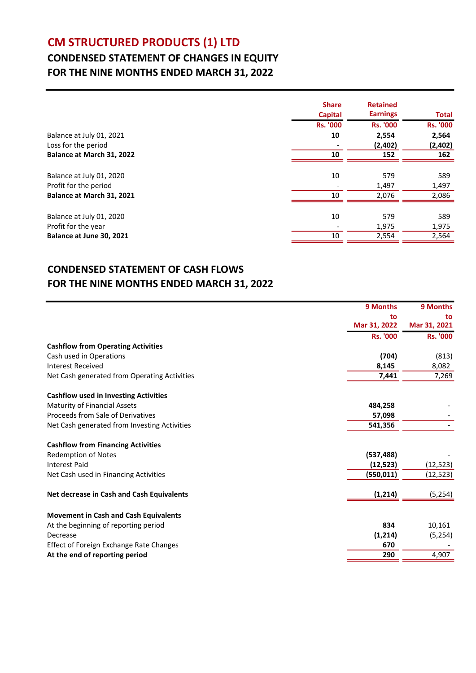# CM STRUCTURED PRODUCTS (1) LTD

## CONDENSED STATEMENT OF CHANGES IN EQUITY FOR THE NINE MONTHS ENDED MARCH 31, 2022

| <b>Rs. '000</b><br><b>Rs. '000</b><br>2,554<br>2,564<br>Balance at July 01, 2021<br>10<br>Loss for the period<br>(2,402)<br>Balance at March 31, 2022<br>10<br>152<br>Balance at July 01, 2020<br>10<br>579<br>589<br>Profit for the period<br>1,497<br>1,497<br>Balance at March 31, 2021<br>10<br>2.076<br>Balance at July 01, 2020<br>10<br>579<br>589<br>Profit for the year<br>1,975<br>Balance at June 30, 2021<br>10<br>2,554 | <b>Share</b><br><b>Capital</b> | <b>Retained</b><br><b>Earnings</b> | <b>Total</b>    |
|--------------------------------------------------------------------------------------------------------------------------------------------------------------------------------------------------------------------------------------------------------------------------------------------------------------------------------------------------------------------------------------------------------------------------------------|--------------------------------|------------------------------------|-----------------|
|                                                                                                                                                                                                                                                                                                                                                                                                                                      |                                |                                    | <b>Rs. '000</b> |
|                                                                                                                                                                                                                                                                                                                                                                                                                                      |                                |                                    |                 |
|                                                                                                                                                                                                                                                                                                                                                                                                                                      |                                |                                    | (2,402)         |
|                                                                                                                                                                                                                                                                                                                                                                                                                                      |                                |                                    | 162             |
|                                                                                                                                                                                                                                                                                                                                                                                                                                      |                                |                                    |                 |
|                                                                                                                                                                                                                                                                                                                                                                                                                                      |                                |                                    |                 |
|                                                                                                                                                                                                                                                                                                                                                                                                                                      |                                |                                    |                 |
|                                                                                                                                                                                                                                                                                                                                                                                                                                      |                                |                                    | 2,086           |
|                                                                                                                                                                                                                                                                                                                                                                                                                                      |                                |                                    |                 |
|                                                                                                                                                                                                                                                                                                                                                                                                                                      |                                |                                    |                 |
|                                                                                                                                                                                                                                                                                                                                                                                                                                      |                                |                                    | 1,975           |
|                                                                                                                                                                                                                                                                                                                                                                                                                                      |                                |                                    | 2,564           |

### CONDENSED STATEMENT OF CASH FLOWS FOR THE NINE MONTHS ENDED MARCH 31, 2022

|                                                | 9 Months        | 9 Months        |
|------------------------------------------------|-----------------|-----------------|
|                                                | to              | to              |
|                                                | Mar 31, 2022    | Mar 31, 2021    |
|                                                | <b>Rs. '000</b> | <b>Rs. '000</b> |
| <b>Cashflow from Operating Activities</b>      |                 |                 |
| Cash used in Operations                        | (704)           | (813)           |
| <b>Interest Received</b>                       | 8,145           | 8,082           |
| Net Cash generated from Operating Activities   | 7,441           | 7,269           |
| <b>Cashflow used in Investing Activities</b>   |                 |                 |
| <b>Maturity of Financial Assets</b>            | 484,258         |                 |
| Proceeds from Sale of Derivatives              | 57,098          |                 |
| Net Cash generated from Investing Activities   | 541,356         |                 |
| <b>Cashflow from Financing Activities</b>      |                 |                 |
| <b>Redemption of Notes</b>                     | (537, 488)      |                 |
| <b>Interest Paid</b>                           | (12,523)        | (12, 523)       |
| Net Cash used in Financing Activities          | (550, 011)      | (12, 523)       |
| Net decrease in Cash and Cash Equivalents      | (1, 214)        | (5, 254)        |
| <b>Movement in Cash and Cash Equivalents</b>   |                 |                 |
| At the beginning of reporting period           | 834             | 10,161          |
| Decrease                                       | (1, 214)        | (5, 254)        |
| <b>Effect of Foreign Exchange Rate Changes</b> | 670             |                 |
| At the end of reporting period                 | 290             | 4,907           |
|                                                |                 |                 |